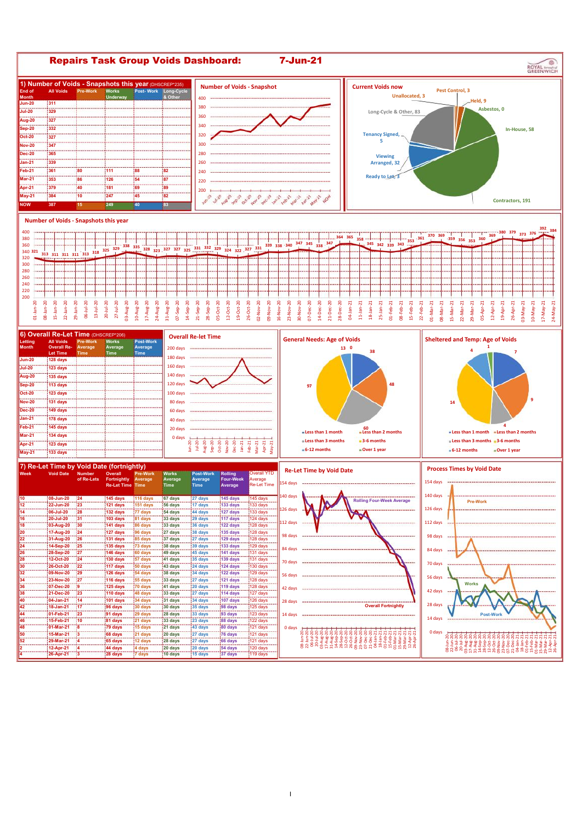